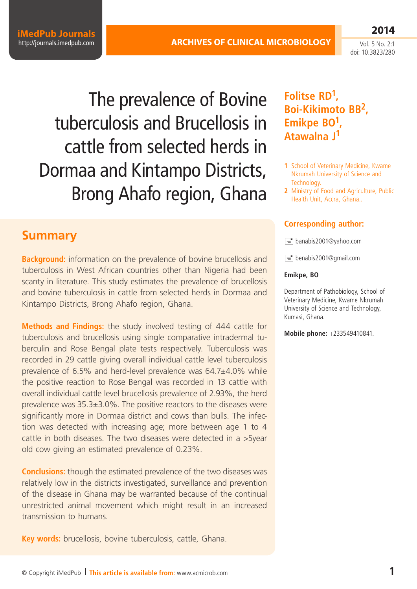**iMedPub Journals** <http://journals.imedpub.com>

Vol. 5 No. 2:1 doi: 10.3823/280

**2014**

The prevalence of Bovine tuberculosis and Brucellosis in cattle from selected herds in Dormaa and Kintampo Districts, Brong Ahafo region, Ghana

## **Summary**

**Background:** information on the prevalence of bovine brucellosis and tuberculosis in West African countries other than Nigeria had been scanty in literature. This study estimates the prevalence of brucellosis and bovine tuberculosis in cattle from selected herds in Dormaa and Kintampo Districts, Brong Ahafo region, Ghana.

**Methods and Findings:** the study involved testing of 444 cattle for tuberculosis and brucellosis using single comparative intradermal tuberculin and Rose Bengal plate tests respectively. Tuberculosis was recorded in 29 cattle giving overall individual cattle level tuberculosis prevalence of 6.5% and herd-level prevalence was 64.7±4.0% while the positive reaction to Rose Bengal was recorded in 13 cattle with overall individual cattle level brucellosis prevalence of 2.93%, the herd prevalence was 35.3±3.0%. The positive reactors to the diseases were significantly more in Dormaa district and cows than bulls. The infection was detected with increasing age; more between age 1 to 4 cattle in both diseases. The two diseases were detected in a >5year old cow giving an estimated prevalence of 0.23%.

**Conclusions:** though the estimated prevalence of the two diseases was relatively low in the districts investigated, surveillance and prevention of the disease in Ghana may be warranted because of the continual unrestricted animal movement which might result in an increased transmission to humans.

**Key words:** brucellosis, bovine tuberculosis, cattle, Ghana.

## **Folitse RD1, Boi-Kikimoto BB2, Emikpe BO1, Atawalna J1**

- **1** School of Veterinary Medicine, Kwame Nkrumah University of Science and Technology.
- **2** Ministry of Food and Agriculture, Public Health Unit, Accra, Ghana..

### **Corresponding author:**

 $\equiv$  [banabis2001@yahoo.com](mailto:banabis2001@yahoo.com)

 $\equiv$  [benabis2001@gmail.com](mailto:benabis2001@gmail.com)

#### **Emikpe, BO**

Department of Pathobiology, School of Veterinary Medicine, Kwame Nkrumah University of Science and Technology, Kumasi, Ghana.

**Mobile phone:** +233549410841.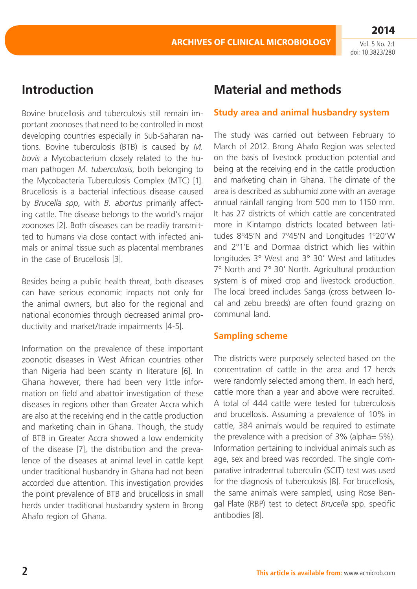# **Introduction**

Bovine brucellosis and tuberculosis still remain important zoonoses that need to be controlled in most developing countries especially in Sub-Saharan nations. Bovine tuberculosis (BTB) is caused by *M. bovis* a Mycobacterium closely related to the human pathogen *M. tuberculosis*, both belonging to the Mycobacteria Tuberculosis Complex (MTC) [1]. Brucellosis is a bacterial infectious disease caused by *Brucella spp*, with *B. abortus* primarily affecting cattle. The disease belongs to the world's major zoonoses [2]. Both diseases can be readily transmitted to humans via close contact with infected animals or animal tissue such as placental membranes in the case of Brucellosis [3].

Besides being a public health threat, both diseases can have serious economic impacts not only for the animal owners, but also for the regional and national economies through decreased animal productivity and market/trade impairments [4-5].

Information on the prevalence of these important zoonotic diseases in West African countries other than Nigeria had been scanty in literature [6]. In Ghana however, there had been very little information on field and abattoir investigation of these diseases in regions other than Greater Accra which are also at the receiving end in the cattle production and marketing chain in Ghana. Though, the study of BTB in Greater Accra showed a low endemicity of the disease [7], the distribution and the prevalence of the diseases at animal level in cattle kept under traditional husbandry in Ghana had not been accorded due attention. This investigation provides the point prevalence of BTB and brucellosis in small herds under traditional husbandry system in Brong Ahafo region of Ghana.

# **Material and methods**

### **Study area and animal husbandry system**

The study was carried out between February to March of 2012. Brong Ahafo Region was selected on the basis of livestock production potential and being at the receiving end in the cattle production and marketing chain in Ghana. The climate of the area is described as subhumid zone with an average annual rainfall ranging from 500 mm to 1150 mm. It has 27 districts of which cattle are concentrated more in Kintampo districts located between latitudes 8º45'N and 7º45'N and Longitudes 1º20'W and 2°1'E and Dormaa district which lies within longitudes 3° West and 3° 30' West and latitudes 7° North and 7° 30' North. Agricultural production system is of mixed crop and livestock production. The local breed includes Sanga (cross between local and zebu breeds) are often found grazing on communal land.

## **Sampling scheme**

The districts were purposely selected based on the concentration of cattle in the area and 17 herds were randomly selected among them. In each herd, cattle more than a year and above were recruited. A total of 444 cattle were tested for tuberculosis and brucellosis. Assuming a prevalence of 10% in cattle, 384 animals would be required to estimate the prevalence with a precision of 3% (alpha= 5%). Information pertaining to individual animals such as age, sex and breed was recorded. The single comparative intradermal tuberculin (SCIT) test was used for the diagnosis of tuberculosis [8]. For brucellosis, the same animals were sampled, using Rose Bengal Plate (RBP) test to detect *Brucella* spp. specific antibodies [8].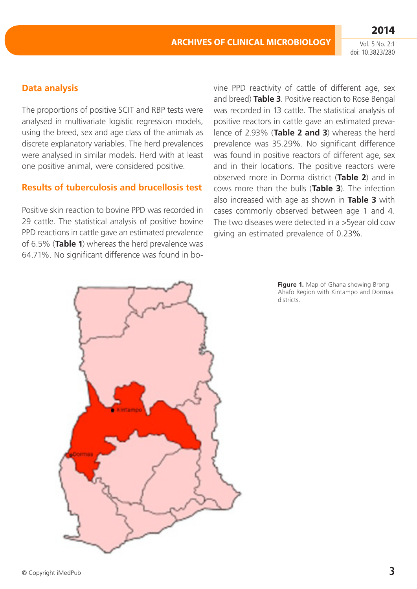doi: 10.3823/280

## **Data analysis**

The proportions of positive SCIT and RBP tests were analysed in multivariate logistic regression models, using the breed, sex and age class of the animals as discrete explanatory variables. The herd prevalences were analysed in similar models. Herd with at least one positive animal, were considered positive.

### **Results of tuberculosis and brucellosis test**

Positive skin reaction to bovine PPD was recorded in 29 cattle. The statistical analysis of positive bovine PPD reactions in cattle gave an estimated prevalence of 6.5% (**Table 1**) whereas the herd prevalence was 64.71%. No significant difference was found in bo-



**Figure 1.** Map of Ghana showing Brong Ahafo Region with Kintampo and Dormaa districts.

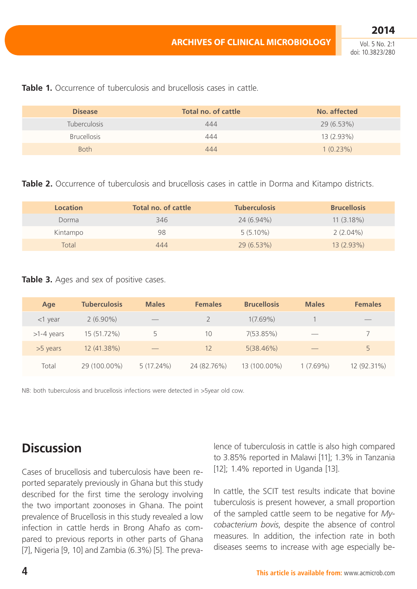Vol. 5 No. 2:1 doi: 10.3823/280

**2014**

| <b>Disease</b>      | Total no. of cattle | No. affected |
|---------------------|---------------------|--------------|
| <b>Tuberculosis</b> | 444                 | 29 (6.53%)   |
| <b>Brucellosis</b>  | 444                 | 13 (2.93%)   |
| <b>Both</b>         | 444                 | 1(0.23%)     |

**Table 1.** Occurrence of tuberculosis and brucellosis cases in cattle.

**Table 2.** Occurrence of tuberculosis and brucellosis cases in cattle in Dorma and Kitampo districts.

| <b>Location</b> | <b>Total no. of cattle</b> | <b>Tuberculosis</b> | <b>Brucellosis</b> |
|-----------------|----------------------------|---------------------|--------------------|
| Dorma           | 346                        | 24 (6.94%)          | $11(3.18\%)$       |
| Kintampo        | 98                         | $5(5.10\%)$         | $2(2.04\%)$        |
| Total           | 444                        | $29(6.53\%)$        | $13(2.93\%)$       |

#### **Table 3.** Ages and sex of positive cases.

| Age          | <b>Tuberculosis</b> | <b>Males</b> | <b>Females</b> | <b>Brucellosis</b> | <b>Males</b> | <b>Females</b> |
|--------------|---------------------|--------------|----------------|--------------------|--------------|----------------|
| $<$ 1 year   | $2(6.90\%)$         |              |                | $1(7.69\%)$        |              | $-$            |
| $>1-4$ years | 15 (51.72%)         | 5            | 10             | 7(53.85%)          |              |                |
| $>5$ years   | 12 (41.38%)         |              | 12             | 5(38.46%)          |              | 5              |
| Total        | 29 (100.00%)        | $5(17.24\%)$ | 24 (82.76%)    | 13 (100.00%)       | $1(7.69\%)$  | 12 (92.31%)    |

NB: both tuberculosis and brucellosis infections were detected in >5year old cow.

# **Discussion**

Cases of brucellosis and tuberculosis have been reported separately previously in Ghana but this study described for the first time the serology involving the two important zoonoses in Ghana. The point prevalence of Brucellosis in this study revealed a low infection in cattle herds in Brong Ahafo as compared to previous reports in other parts of Ghana [7], Nigeria [9, 10] and Zambia (6.3%) [5]. The prevalence of tuberculosis in cattle is also high compared to 3.85% reported in Malawi [11]; 1.3% in Tanzania [12]; 1.4% reported in Uganda [13].

In cattle, the SCIT test results indicate that bovine tuberculosis is present however, a small proportion of the sampled cattle seem to be negative for *Mycobacterium bovis*, despite the absence of control measures. In addition, the infection rate in both diseases seems to increase with age especially be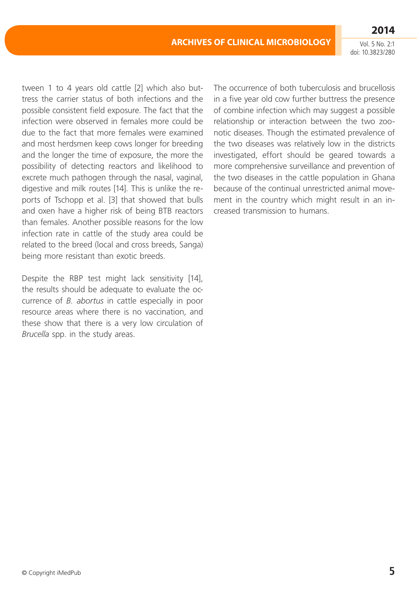tween 1 to 4 years old cattle [2] which also buttress the carrier status of both infections and the possible consistent field exposure. The fact that the infection were observed in females more could be due to the fact that more females were examined and most herdsmen keep cows longer for breeding and the longer the time of exposure, the more the possibility of detecting reactors and likelihood to excrete much pathogen through the nasal, vaginal, digestive and milk routes [14]. This is unlike the reports of Tschopp et al. [3] that showed that bulls and oxen have a higher risk of being BTB reactors than females. Another possible reasons for the low infection rate in cattle of the study area could be related to the breed (local and cross breeds, Sanga) being more resistant than exotic breeds.

Despite the RBP test might lack sensitivity [14], the results should be adequate to evaluate the occurrence of *B. abortus* in cattle especially in poor resource areas where there is no vaccination, and these show that there is a very low circulation of *Brucella* spp. in the study areas.

The occurrence of both tuberculosis and brucellosis in a five year old cow further buttress the presence of combine infection which may suggest a possible relationship or interaction between the two zoonotic diseases. Though the estimated prevalence of the two diseases was relatively low in the districts investigated, effort should be geared towards a more comprehensive surveillance and prevention of the two diseases in the cattle population in Ghana because of the continual unrestricted animal movement in the country which might result in an increased transmission to humans.